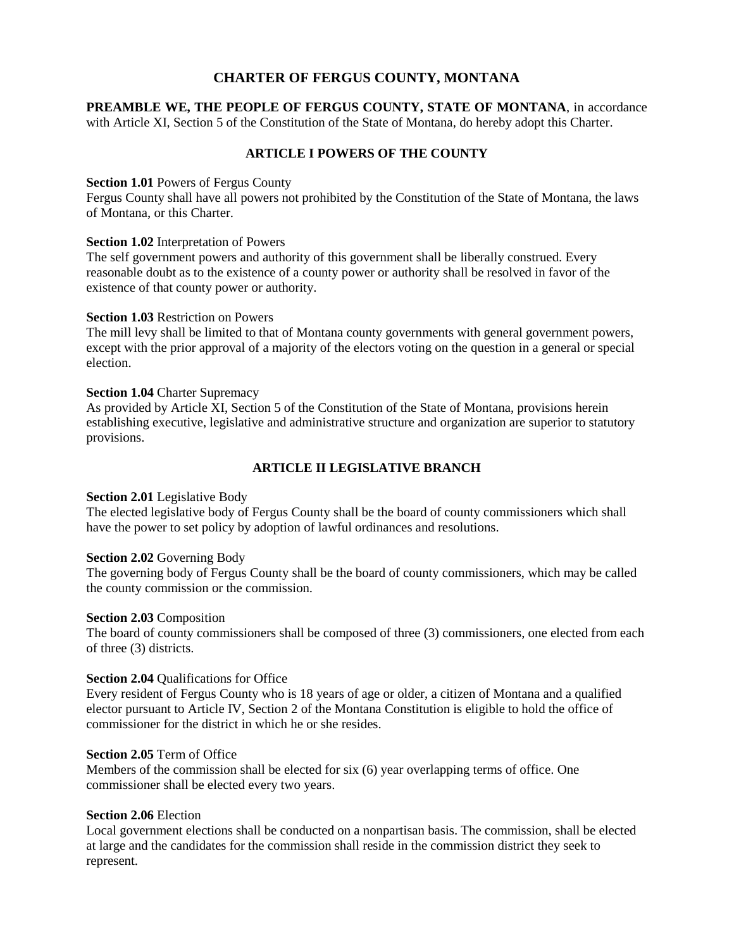# **CHARTER OF FERGUS COUNTY, MONTANA**

**PREAMBLE WE, THE PEOPLE OF FERGUS COUNTY, STATE OF MONTANA**, in accordance with Article XI, Section 5 of the Constitution of the State of Montana, do hereby adopt this Charter.

# **ARTICLE I POWERS OF THE COUNTY**

### **Section 1.01** Powers of Fergus County

Fergus County shall have all powers not prohibited by the Constitution of the State of Montana, the laws of Montana, or this Charter.

### **Section 1.02** Interpretation of Powers

The self government powers and authority of this government shall be liberally construed. Every reasonable doubt as to the existence of a county power or authority shall be resolved in favor of the existence of that county power or authority.

### **Section 1.03** Restriction on Powers

The mill levy shall be limited to that of Montana county governments with general government powers, except with the prior approval of a majority of the electors voting on the question in a general or special election.

### **Section 1.04** Charter Supremacy

As provided by Article XI, Section 5 of the Constitution of the State of Montana, provisions herein establishing executive, legislative and administrative structure and organization are superior to statutory provisions.

# **ARTICLE II LEGISLATIVE BRANCH**

### **Section 2.01** Legislative Body

The elected legislative body of Fergus County shall be the board of county commissioners which shall have the power to set policy by adoption of lawful ordinances and resolutions.

### **Section 2.02** Governing Body

The governing body of Fergus County shall be the board of county commissioners, which may be called the county commission or the commission.

### **Section 2.03** Composition

The board of county commissioners shall be composed of three (3) commissioners, one elected from each of three (3) districts.

### **Section 2.04** Qualifications for Office

Every resident of Fergus County who is 18 years of age or older, a citizen of Montana and a qualified elector pursuant to Article IV, Section 2 of the Montana Constitution is eligible to hold the office of commissioner for the district in which he or she resides.

### **Section 2.05** Term of Office

Members of the commission shall be elected for six (6) year overlapping terms of office. One commissioner shall be elected every two years.

### **Section 2.06** Election

Local government elections shall be conducted on a nonpartisan basis. The commission, shall be elected at large and the candidates for the commission shall reside in the commission district they seek to represent.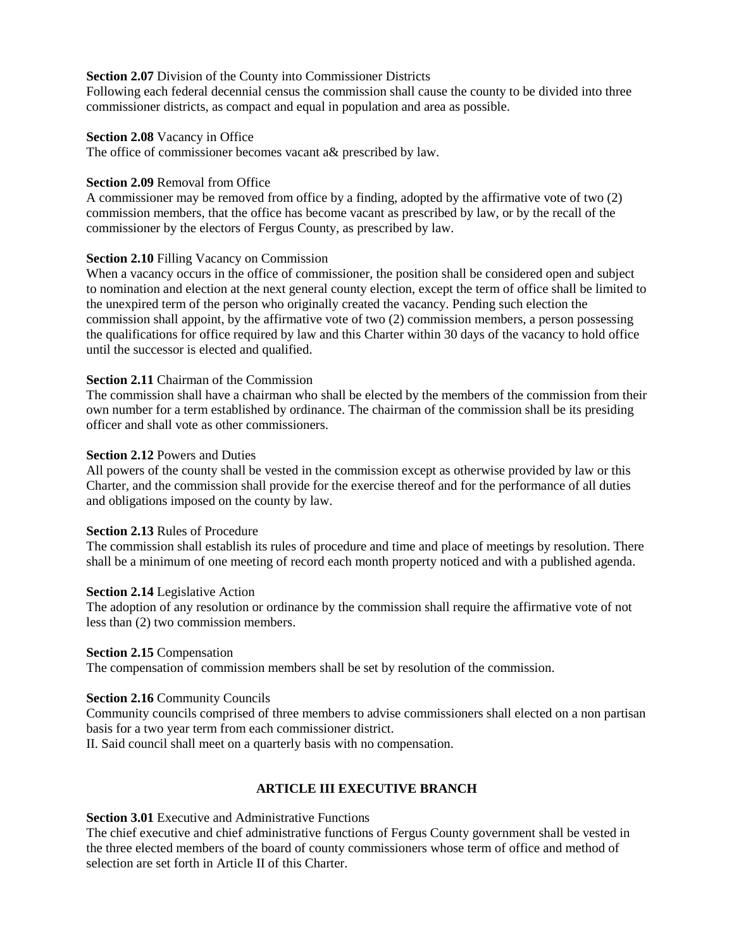## **Section 2.07** Division of the County into Commissioner Districts

Following each federal decennial census the commission shall cause the county to be divided into three commissioner districts, as compact and equal in population and area as possible.

## **Section 2.08** Vacancy in Office

The office of commissioner becomes vacant a& prescribed by law.

### **Section 2.09** Removal from Office

A commissioner may be removed from office by a finding, adopted by the affirmative vote of two (2) commission members, that the office has become vacant as prescribed by law, or by the recall of the commissioner by the electors of Fergus County, as prescribed by law.

## **Section 2.10** Filling Vacancy on Commission

When a vacancy occurs in the office of commissioner, the position shall be considered open and subject to nomination and election at the next general county election, except the term of office shall be limited to the unexpired term of the person who originally created the vacancy. Pending such election the commission shall appoint, by the affirmative vote of two (2) commission members, a person possessing the qualifications for office required by law and this Charter within 30 days of the vacancy to hold office until the successor is elected and qualified.

## **Section 2.11** Chairman of the Commission

The commission shall have a chairman who shall be elected by the members of the commission from their own number for a term established by ordinance. The chairman of the commission shall be its presiding officer and shall vote as other commissioners.

### **Section 2.12** Powers and Duties

All powers of the county shall be vested in the commission except as otherwise provided by law or this Charter, and the commission shall provide for the exercise thereof and for the performance of all duties and obligations imposed on the county by law.

## **Section 2.13** Rules of Procedure

The commission shall establish its rules of procedure and time and place of meetings by resolution. There shall be a minimum of one meeting of record each month property noticed and with a published agenda.

### **Section 2.14** Legislative Action

The adoption of any resolution or ordinance by the commission shall require the affirmative vote of not less than (2) two commission members.

### **Section 2.15** Compensation

The compensation of commission members shall be set by resolution of the commission.

## **Section 2.16** Community Councils

Community councils comprised of three members to advise commissioners shall elected on a non partisan basis for a two year term from each commissioner district.

II. Said council shall meet on a quarterly basis with no compensation.

## **ARTICLE III EXECUTIVE BRANCH**

**Section 3.01** Executive and Administrative Functions

The chief executive and chief administrative functions of Fergus County government shall be vested in the three elected members of the board of county commissioners whose term of office and method of selection are set forth in Article II of this Charter.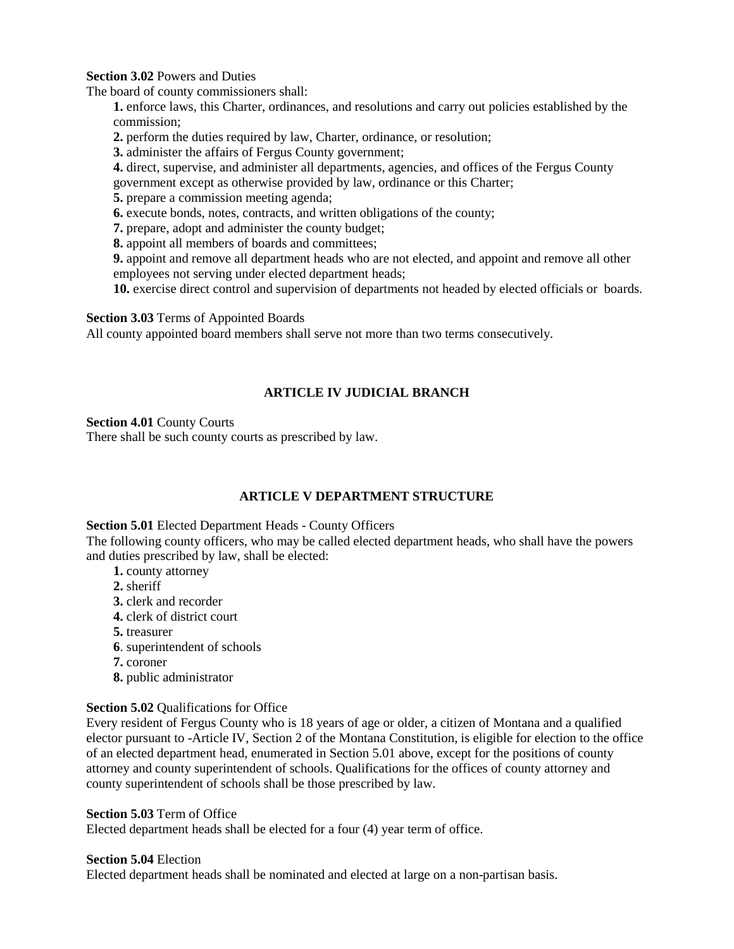**Section 3.02** Powers and Duties

The board of county commissioners shall:

**1.** enforce laws, this Charter, ordinances, and resolutions and carry out policies established by the commission;

- **2.** perform the duties required by law, Charter, ordinance, or resolution;
- **3.** administer the affairs of Fergus County government;
- **4.** direct, supervise, and administer all departments, agencies, and offices of the Fergus County government except as otherwise provided by law, ordinance or this Charter;
- **5.** prepare a commission meeting agenda;
- **6.** execute bonds, notes, contracts, and written obligations of the county;
- **7.** prepare, adopt and administer the county budget;
- **8.** appoint all members of boards and committees;
- **9.** appoint and remove all department heads who are not elected, and appoint and remove all other employees not serving under elected department heads;
- **10.** exercise direct control and supervision of departments not headed by elected officials or boards.

### **Section 3.03** Terms of Appointed Boards

All county appointed board members shall serve not more than two terms consecutively.

## **ARTICLE IV JUDICIAL BRANCH**

### **Section 4.01** County Courts

There shall be such county courts as prescribed by law.

## **ARTICLE V DEPARTMENT STRUCTURE**

### **Section 5.01** Elected Department Heads - County Officers

The following county officers, who may be called elected department heads, who shall have the powers and duties prescribed by law, shall be elected:

- **1.** county attorney
- **2.** sheriff
- **3.** clerk and recorder
- **4.** clerk of district court
- **5.** treasurer
- **6**. superintendent of schools
- **7.** coroner
- **8.** public administrator

## **Section 5.02** Qualifications for Office

Every resident of Fergus County who is 18 years of age or older, a citizen of Montana and a qualified elector pursuant to -Article IV, Section 2 of the Montana Constitution, is eligible for election to the office of an elected department head, enumerated in Section 5.01 above, except for the positions of county attorney and county superintendent of schools. Qualifications for the offices of county attorney and county superintendent of schools shall be those prescribed by law.

### **Section 5.03** Term of Office

Elected department heads shall be elected for a four (4) year term of office.

### **Section 5.04** Election

Elected department heads shall be nominated and elected at large on a non-partisan basis.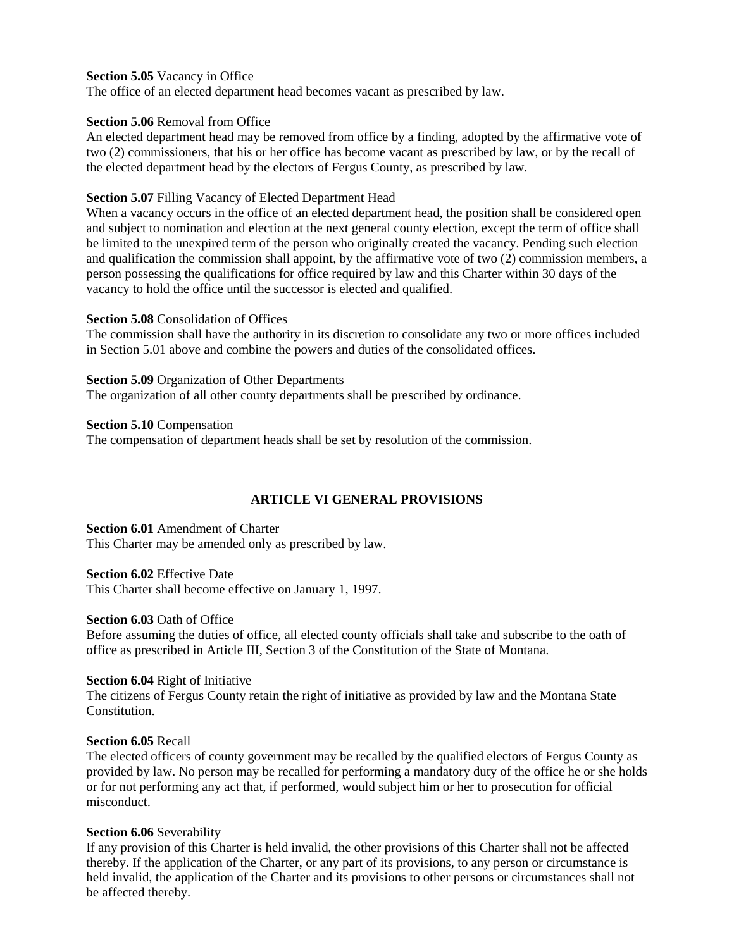## **Section 5.05** Vacancy in Office

The office of an elected department head becomes vacant as prescribed by law.

## **Section 5.06** Removal from Office

An elected department head may be removed from office by a finding, adopted by the affirmative vote of two (2) commissioners, that his or her office has become vacant as prescribed by law, or by the recall of the elected department head by the electors of Fergus County, as prescribed by law.

# **Section 5.07** Filling Vacancy of Elected Department Head

When a vacancy occurs in the office of an elected department head, the position shall be considered open and subject to nomination and election at the next general county election, except the term of office shall be limited to the unexpired term of the person who originally created the vacancy. Pending such election and qualification the commission shall appoint, by the affirmative vote of two (2) commission members, a person possessing the qualifications for office required by law and this Charter within 30 days of the vacancy to hold the office until the successor is elected and qualified.

## **Section 5.08** Consolidation of Offices

The commission shall have the authority in its discretion to consolidate any two or more offices included in Section 5.01 above and combine the powers and duties of the consolidated offices.

**Section 5.09** Organization of Other Departments The organization of all other county departments shall be prescribed by ordinance.

**Section 5.10** Compensation

The compensation of department heads shall be set by resolution of the commission.

# **ARTICLE VI GENERAL PROVISIONS**

**Section 6.01** Amendment of Charter This Charter may be amended only as prescribed by law.

**Section 6.02** Effective Date

This Charter shall become effective on January 1, 1997.

## **Section 6.03** Oath of Office

Before assuming the duties of office, all elected county officials shall take and subscribe to the oath of office as prescribed in Article III, Section 3 of the Constitution of the State of Montana.

## **Section 6.04** Right of Initiative

The citizens of Fergus County retain the right of initiative as provided by law and the Montana State Constitution.

## **Section 6.05** Recall

The elected officers of county government may be recalled by the qualified electors of Fergus County as provided by law. No person may be recalled for performing a mandatory duty of the office he or she holds or for not performing any act that, if performed, would subject him or her to prosecution for official misconduct.

## **Section 6.06** Severability

If any provision of this Charter is held invalid, the other provisions of this Charter shall not be affected thereby. If the application of the Charter, or any part of its provisions, to any person or circumstance is held invalid, the application of the Charter and its provisions to other persons or circumstances shall not be affected thereby.